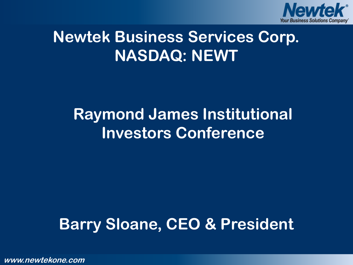

# **Newtek Business Services Corp. NASDAQ: NEWT**

# **Raymond James Institutional Investors Conference**

# **Barry Sloane, CEO & President**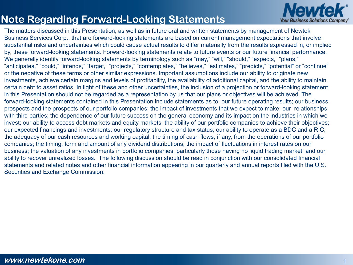#### **Note Regarding Forward-Looking Statements**



The matters discussed in this Presentation, as well as in future oral and written statements by management of Newtek Business Services Corp., that are forward-looking statements are based on current management expectations that involve substantial risks and uncertainties which could cause actual results to differ materially from the results expressed in, or implied by, these forward-looking statements. Forward-looking statements relate to future events or our future financial performance. We generally identify forward-looking statements by terminology such as "may," "will," "should," "expects," "plans," "anticipates," "could," "intends," "target," "projects," "contemplates," "believes," "estimates," "predicts," "potential" or "continue" or the negative of these terms or other similar expressions. Important assumptions include our ability to originate new investments, achieve certain margins and levels of profitability, the availability of additional capital, and the ability to maintain certain debt to asset ratios. In light of these and other uncertainties, the inclusion of a projection or forward-looking statement in this Presentation should not be regarded as a representation by us that our plans or objectives will be achieved. The forward-looking statements contained in this Presentation include statements as to: our future operating results; our business prospects and the prospects of our portfolio companies; the impact of investments that we expect to make; our relationships with third parties; the dependence of our future success on the general economy and its impact on the industries in which we invest; our ability to access debt markets and equity markets; the ability of our portfolio companies to achieve their objectives; our expected financings and investments; our regulatory structure and tax status; our ability to operate as a BDC and a RIC; the adequacy of our cash resources and working capital; the timing of cash flows, if any, from the operations of our portfolio companies; the timing, form and amount of any dividend distributions; the impact of fluctuations in interest rates on our business; the valuation of any investments in portfolio companies, particularly those having no liquid trading market; and our ability to recover unrealized losses. The following discussion should be read in conjunction with our consolidated financial statements and related notes and other financial information appearing in our quarterly and annual reports filed with the U.S. Securities and Exchange Commission.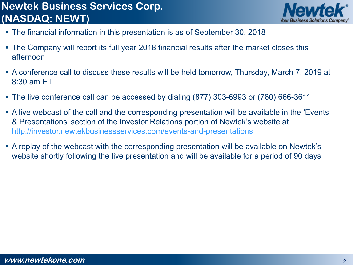# **Newtek Business Services Corp. (NASDAQ: NEWT)**



- The financial information in this presentation is as of September 30, 2018
- The Company will report its full year 2018 financial results after the market closes this afternoon
- A conference call to discuss these results will be held tomorrow, Thursday, March 7, 2019 at 8:30 am ET
- The live conference call can be accessed by dialing (877) 303-6993 or (760) 666-3611
- A live webcast of the call and the corresponding presentation will be available in the 'Events & Presentations' section of the Investor Relations portion of Newtek's website at <http://investor.newtekbusinessservices.com/events-and-presentations>
- A replay of the webcast with the corresponding presentation will be available on Newtek's website shortly following the live presentation and will be available for a period of 90 days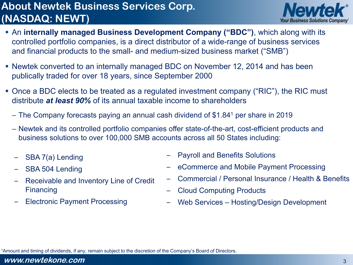## **About Newtek Business Services Corp. (NASDAQ: NEWT)**



- An **internally managed Business Development Company ("BDC")**, which along with its controlled portfolio companies, is a direct distributor of a wide-range of business services and financial products to the small- and medium-sized business market ("SMB")
- Newtek converted to an internally managed BDC on November 12, 2014 and has been publically traded for over 18 years, since September 2000
- Once a BDC elects to be treated as a regulated investment company ("RIC"), the RIC must distribute *at least 90%* of its annual taxable income to shareholders
	- The Company forecasts paying an annual cash dividend of \$1.841 per share in 2019
	- Newtek and its controlled portfolio companies offer state-of-the-art, cost-efficient products and business solutions to over 100,000 SMB accounts across all 50 States including:
	- SBA 7(a) Lending
	- SBA 504 Lending
	- Receivable and Inventory Line of Credit **Financing**
	- Electronic Payment Processing
- Payroll and Benefits Solutions
- eCommerce and Mobile Payment Processing
- Commercial / Personal Insurance / Health & Benefits
- Cloud Computing Products
- Web Services Hosting/Design Development

1Amount and timing of dividends, if any, remain subject to the discretion of the Company's Board of Directors.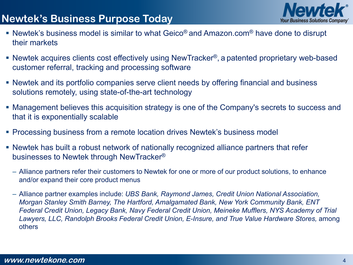### **Newtek's Business Purpose Today**

- 
- Newtek's business model is similar to what Geico® and Amazon.com<sup>®</sup> have done to disrupt their markets
- Newtek acquires clients cost effectively using NewTracker<sup>®</sup>, a patented proprietary web-based customer referral, tracking and processing software
- Newtek and its portfolio companies serve client needs by offering financial and business solutions remotely, using state-of-the-art technology
- Management believes this acquisition strategy is one of the Company's secrets to success and that it is exponentially scalable
- **Processing business from a remote location drives Newtek's business model**
- Newtek has built a robust network of nationally recognized alliance partners that refer businesses to Newtek through NewTracker®
	- Alliance partners refer their customers to Newtek for one or more of our product solutions, to enhance and/or expand their core product menus
	- Alliance partner examples include: *UBS Bank, Raymond James, Credit Union National Association, Morgan Stanley Smith Barney, The Hartford, Amalgamated Bank, New York Community Bank, ENT Federal Credit Union, Legacy Bank, Navy Federal Credit Union, Meineke Mufflers, NYS Academy of Trial*  Lawyers, LLC, Randolph Brooks Federal Credit Union, E-Insure, and True Value Hardware Stores, among others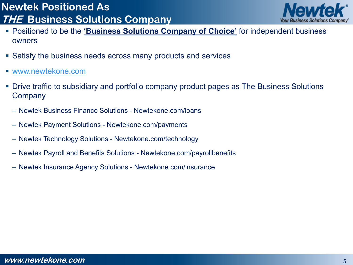### **Newtek Positioned As THE Business Solutions Company**



- **Positioned to be the 'Business Solutions Company of Choice'** for independent business owners
- Satisfy the business needs across many products and services
- [www.newtekone.com](http://www.newtekone.com/)
- Drive traffic to subsidiary and portfolio company product pages as The Business Solutions **Company** 
	- Newtek Business Finance Solutions Newtekone.com/loans
	- Newtek Payment Solutions Newtekone.com/payments
	- Newtek Technology Solutions Newtekone.com/technology
	- Newtek Payroll and Benefits Solutions Newtekone.com/payrollbenefits
	- Newtek Insurance Agency Solutions Newtekone.com/insurance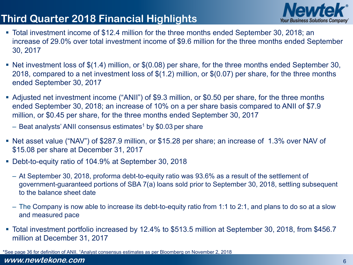### **Third Quarter 2018 Financial Highlights**



- Total investment income of \$12.4 million for the three months ended September 30, 2018; an increase of 29.0% over total investment income of \$9.6 million for the three months ended September 30, 2017
- Net investment loss of \$(1.4) million, or \$(0.08) per share, for the three months ended September 30, 2018, compared to a net investment loss of \$(1.2) million, or \$(0.07) per share, for the three months ended September 30, 2017
- Adjusted net investment income ("ANII") of \$9.3 million, or \$0.50 per share, for the three months ended September 30, 2018; an increase of 10% on a per share basis compared to ANII of \$7.9 million, or \$0.45 per share, for the three months ended September 30, 2017
	- Beat analysts' ANII consensus estimates<sup>1</sup> by \$0.03 per share
- Net asset value ("NAV") of \$287.9 million, or \$15.28 per share; an increase of 1.3% over NAV of \$15.08 per share at December 31, 2017
- Debt-to-equity ratio of 104.9% at September 30, 2018
	- At September 30, 2018, proforma debt-to-equity ratio was 93.6% as a result of the settlement of government-guaranteed portions of SBA 7(a) loans sold prior to September 30, 2018, settling subsequent to the balance sheet date
	- The Company is now able to increase its debt-to-equity ratio from 1:1 to 2:1, and plans to do so at a slow and measured pace
- Total investment portfolio increased by 12.4% to \$513.5 million at September 30, 2018, from \$456.7 million at December 31, 2017

**www.newtekone.com** \*See page 36 for definition of ANII. 1Analyst consensus estimates as per Bloomberg on November 2, 2018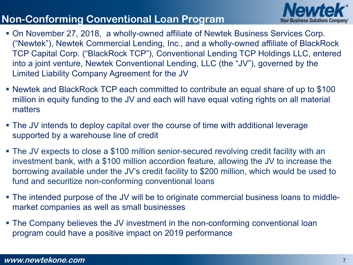### **Non-Conforming Conventional Loan Program**



- On November 27, 2018, a wholly-owned affiliate of Newtek Business Services Corp. ("Newtek"), Newtek Commercial Lending, Inc., and a wholly-owned affiliate of BlackRock TCP Capital Corp. ("BlackRock TCP"), Conventional Lending TCP Holdings LLC, entered into a joint venture, Newtek Conventional Lending, LLC (the "JV"), governed by the Limited Liability Company Agreement for the JV
- Newtek and BlackRock TCP each committed to contribute an equal share of up to \$100 million in equity funding to the JV and each will have equal voting rights on all material matters
- The JV intends to deploy capital over the course of time with additional leverage supported by a warehouse line of credit
- The JV expects to close a \$100 million senior-secured revolving credit facility with an investment bank, with a \$100 million accordion feature, allowing the JV to increase the borrowing available under the JV's credit facility to \$200 million, which would be used to fund and securitize non-conforming conventional loans
- The intended purpose of the JV will be to originate commercial business loans to middlemarket companies as well as small businesses
- The Company believes the JV investment in the non-conforming conventional loan program could have a positive impact on 2019 performance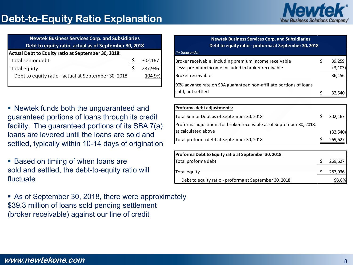

| <b>Newtek Business Services Corp. and Subsidiaries</b> |                                                       |         |  |  |  |  |
|--------------------------------------------------------|-------------------------------------------------------|---------|--|--|--|--|
|                                                        | Debt to equity ratio, actual as of September 30, 2018 |         |  |  |  |  |
| Actual Debt to Equity ratio at September 30, 2018:     |                                                       |         |  |  |  |  |
| Total senior debt                                      |                                                       | 302,167 |  |  |  |  |
| Total equity                                           |                                                       | 287,936 |  |  |  |  |
| Debt to equity ratio - actual at September 30, 2018    |                                                       | 104.9%  |  |  |  |  |
|                                                        |                                                       |         |  |  |  |  |

 Newtek funds both the unguaranteed and guaranteed portions of loans through its credit facility. The guaranteed portions of its SBA 7(a) loans are levered until the loans are sold and settled, typically within 10-14 days of origination

**Based on timing of when loans are** sold and settled, the debt-to-equity ratio will fluctuate

 As of September 30, 2018, there were approximately \$39.3 million of loans sold pending settlement (broker receivable) against our line of credit

| <b>Newtek Business Services Corp. and Subsidiaries</b><br>Debt to equity ratio - proforma at September 30, 2018                          |  |                              |  |  |  |
|------------------------------------------------------------------------------------------------------------------------------------------|--|------------------------------|--|--|--|
| (in thousands):                                                                                                                          |  |                              |  |  |  |
| Broker receivable, including premium income receivable<br>Less: premium income included in broker receivable<br><b>Broker receivable</b> |  | 39,259<br>(3, 103)<br>36,156 |  |  |  |
| 90% advance rate on SBA guaranteed non-affiliate portions of loans<br>sold, not settled                                                  |  |                              |  |  |  |

| Proforma debt adjustments:                                          |           |
|---------------------------------------------------------------------|-----------|
| Total Senior Debt as of September 30, 2018                          | 302,167   |
| Proforma adjustment for broker receivable as of September 30, 2018, |           |
| as calculated above                                                 | (32, 540) |
| Total proforma debt at September 30, 2018                           | 269,627   |

| Proforma Debt to Equity ratio at September 30, 2018:  |         |
|-------------------------------------------------------|---------|
| Total proforma debt                                   | 269,627 |
| Total equity                                          | 287,936 |
| Debt to equity ratio - proforma at September 30, 2018 | 93.6%   |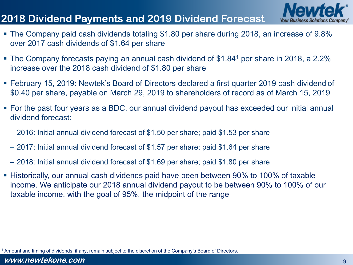### **2018 Dividend Payments and 2019 Dividend Forecast**



- The Company paid cash dividends totaling \$1.80 per share during 2018, an increase of 9.8% over 2017 cash dividends of \$1.64 per share
- The Company forecasts paying an annual cash dividend of \$1.84<sup>1</sup> per share in 2018, a 2.2% increase over the 2018 cash dividend of \$1.80 per share
- February 15, 2019: Newtek's Board of Directors declared a first quarter 2019 cash dividend of \$0.40 per share, payable on March 29, 2019 to shareholders of record as of March 15, 2019
- For the past four years as a BDC, our annual dividend payout has exceeded our initial annual dividend forecast:
	- 2016: Initial annual dividend forecast of \$1.50 per share; paid \$1.53 per share
	- 2017: Initial annual dividend forecast of \$1.57 per share; paid \$1.64 per share
	- 2018: Initial annual dividend forecast of \$1.69 per share; paid \$1.80 per share
- Historically, our annual cash dividends paid have been between 90% to 100% of taxable income. We anticipate our 2018 annual dividend payout to be between 90% to 100% of our taxable income, with the goal of 95%, the midpoint of the range

1 Amount and timing of dividends, if any, remain subject to the discretion of the Company's Board of Directors.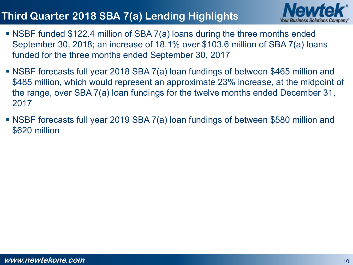# **Third Quarter 2018 SBA 7(a) Lending Highlights**



- NSBF funded \$122.4 million of SBA 7(a) loans during the three months ended September 30, 2018; an increase of 18.1% over \$103.6 million of SBA 7(a) loans funded for the three months ended September 30, 2017
- NSBF forecasts full year 2018 SBA 7(a) loan fundings of between \$465 million and \$485 million, which would represent an approximate 23% increase, at the midpoint of the range, over SBA 7(a) loan fundings for the twelve months ended December 31, 2017
- NSBF forecasts full year 2019 SBA 7(a) loan fundings of between \$580 million and \$620 million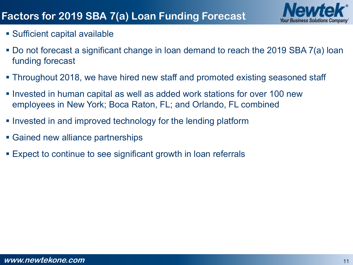

- Sufficient capital available
- Do not forecast a significant change in loan demand to reach the 2019 SBA 7(a) loan funding forecast
- Throughout 2018, we have hired new staff and promoted existing seasoned staff
- Invested in human capital as well as added work stations for over 100 new employees in New York; Boca Raton, FL; and Orlando, FL combined
- **Invested in and improved technology for the lending platform**
- Gained new alliance partnerships
- Expect to continue to see significant growth in loan referrals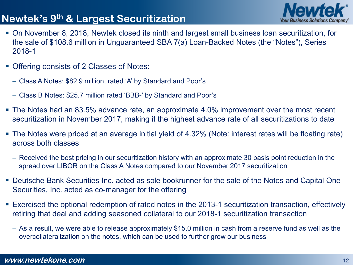### **Newtek's 9th & Largest Securitization**



- On November 8, 2018, Newtek closed its ninth and largest small business loan securitization, for the sale of \$108.6 million in Unguaranteed SBA 7(a) Loan-Backed Notes (the "Notes"), Series 2018-1
- **Offering consists of 2 Classes of Notes:** 
	- Class A Notes: \$82.9 million, rated 'A' by Standard and Poor's
	- Class B Notes: \$25.7 million rated 'BBB-' by Standard and Poor's
- The Notes had an 83.5% advance rate, an approximate 4.0% improvement over the most recent securitization in November 2017, making it the highest advance rate of all securitizations to date
- The Notes were priced at an average initial yield of 4.32% (Note: interest rates will be floating rate) across both classes
	- Received the best pricing in our securitization history with an approximate 30 basis point reduction in the spread over LIBOR on the Class A Notes compared to our November 2017 securitization
- Deutsche Bank Securities Inc. acted as sole bookrunner for the sale of the Notes and Capital One Securities, Inc. acted as co-manager for the offering
- Exercised the optional redemption of rated notes in the 2013-1 securitization transaction, effectively retiring that deal and adding seasoned collateral to our 2018-1 securitization transaction
	- As a result, we were able to release approximately \$15.0 million in cash from a reserve fund as well as the overcollateralization on the notes, which can be used to further grow our business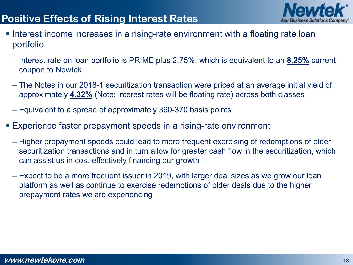### **Positive Effects of Rising Interest Rates**



- **Interest income increases in a rising-rate environment with a floating rate loan** portfolio
	- Interest rate on loan portfolio is PRIME plus 2.75%, which is equivalent to an **8.25%** current coupon to Newtek
	- The Notes in our 2018-1 securitization transaction were priced at an average initial yield of approximately **4.32%** (Note: interest rates will be floating rate) across both classes
	- Equivalent to a spread of approximately 360-370 basis points
- Experience faster prepayment speeds in a rising-rate environment
	- Higher prepayment speeds could lead to more frequent exercising of redemptions of older securitization transactions and in turn allow for greater cash flow in the securitization, which can assist us in cost-effectively financing our growth
	- Expect to be a more frequent issuer in 2019, with larger deal sizes as we grow our loan platform as well as continue to exercise redemptions of older deals due to the higher prepayment rates we are experiencing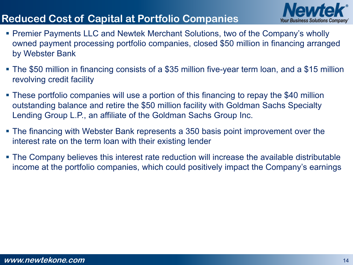# **Reduced Cost of Capital at Portfolio Companies**



- Premier Payments LLC and Newtek Merchant Solutions, two of the Company's wholly owned payment processing portfolio companies, closed \$50 million in financing arranged by Webster Bank
- The \$50 million in financing consists of a \$35 million five-year term loan, and a \$15 million revolving credit facility
- These portfolio companies will use a portion of this financing to repay the \$40 million outstanding balance and retire the \$50 million facility with Goldman Sachs Specialty Lending Group L.P., an affiliate of the Goldman Sachs Group Inc.
- The financing with Webster Bank represents a 350 basis point improvement over the interest rate on the term loan with their existing lender
- The Company believes this interest rate reduction will increase the available distributable income at the portfolio companies, which could positively impact the Company's earnings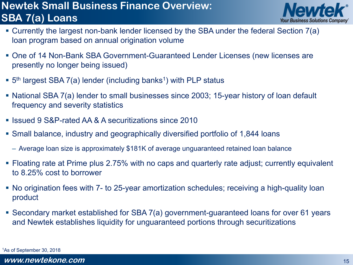### **Newtek Small Business Finance Overview: SBA 7(a) Loans**



- Currently the largest non-bank lender licensed by the SBA under the federal Section 7(a) loan program based on annual origination volume
- One of 14 Non-Bank SBA Government-Guaranteed Lender Licenses (new licenses are presently no longer being issued)
- $\bullet$  5<sup>th</sup> largest SBA 7(a) lender (including banks<sup>1</sup>) with PLP status
- National SBA 7(a) lender to small businesses since 2003; 15-year history of loan default frequency and severity statistics
- Issued 9 S&P-rated AA & A securitizations since 2010
- Small balance, industry and geographically diversified portfolio of 1,844 loans
	- Average loan size is approximately \$181K of average unguaranteed retained loan balance
- Floating rate at Prime plus 2.75% with no caps and quarterly rate adjust; currently equivalent to 8.25% cost to borrower
- No origination fees with 7- to 25-year amortization schedules; receiving a high-quality loan product
- Secondary market established for SBA 7(a) government-guaranteed loans for over 61 years and Newtek establishes liquidity for unguaranteed portions through securitizations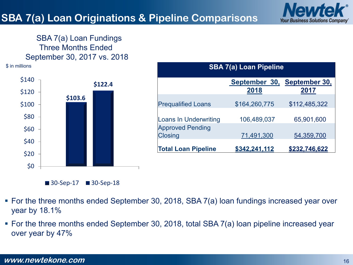

#### SBA 7(a) Loan Fundings Three Months Ended September 30, 2017 vs. 2018

\$ in millions **SBA 7(a) Loan Pipeline**





**September 30, September 30, 2018 2017** Prequalified Loans \$164,260,775 \$112,485,322 Loans In Underwriting 106,489,037 65,901,600 Approved Pending Closing 71,491,300 54,359,700

**Total Loan Pipeline \$342,241,112 \$232,746,622**

- For the three months ended September 30, 2018, SBA 7(a) loan fundings increased year over year by 18.1%
- For the three months ended September 30, 2018, total SBA 7(a) loan pipeline increased year over year by 47%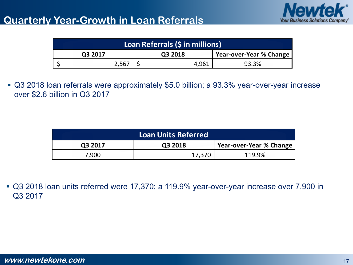

| Loan Referrals (\$ in millions) |         |         |       |                         |  |
|---------------------------------|---------|---------|-------|-------------------------|--|
|                                 | Q3 2017 | Q3 2018 |       | Year-over-Year % Change |  |
|                                 | 2,567   |         | 4,961 | 93.3%                   |  |

 Q3 2018 loan referrals were approximately \$5.0 billion; a 93.3% year-over-year increase over \$2.6 billion in Q3 2017

| <b>Loan Units Referred</b> |         |                         |  |  |  |
|----------------------------|---------|-------------------------|--|--|--|
| Q3 2017                    | Q3 2018 | Year-over-Year % Change |  |  |  |
| 7,900                      | 17,370  | 119.9%                  |  |  |  |

 Q3 2018 loan units referred were 17,370; a 119.9% year-over-year increase over 7,900 in Q3 2017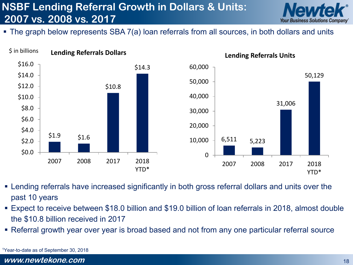# **NSBF Lending Referral Growth in Dollars & Units: 2007 vs. 2008 vs. 2017**



The graph below represents SBA 7(a) loan referrals from all sources, in both dollars and units



- Lending referrals have increased significantly in both gross referral dollars and units over the past 10 years
- Expect to receive between \$18.0 billion and \$19.0 billion of loan referrals in 2018, almost double the \$10.8 billion received in 2017
- Referral growth year over year is broad based and not from any one particular referral source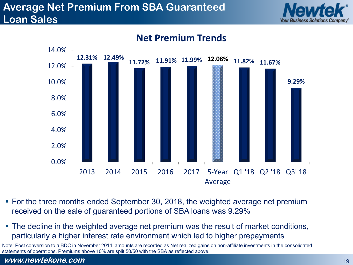### **Average Net Premium From SBA Guaranteed Loan Sales**





#### **Net Premium Trends**

- For the three months ended September 30, 2018, the weighted average net premium received on the sale of guaranteed portions of SBA loans was 9.29%
- The decline in the weighted average net premium was the result of market conditions, particularly a higher interest rate environment which led to higher prepayments

Note: Post conversion to a BDC in November 2014, amounts are recorded as Net realized gains on non-affiliate investments in the consolidated statements of operations. Premiums above 10% are split 50/50 with the SBA as reflected above.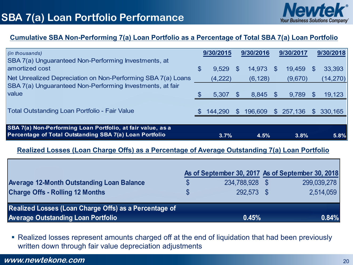

#### **Cumulative SBA Non-Performing 7(a) Loan Portfolio as a Percentage of Total SBA 7(a) Loan Portfolio**

| $\int$ (in thousands)<br>SBA 7(a) Unguaranteed Non-Performing Investments, at                                          |     | 9/30/2015 |     | 9/30/2016 |                | 9/30/2017 |              | 9/30/2018 |
|------------------------------------------------------------------------------------------------------------------------|-----|-----------|-----|-----------|----------------|-----------|--------------|-----------|
| amortized cost                                                                                                         | \$  | 9,529     | \$  | 14,973    | $\mathbb S$    | 19,459    | \$.          | 33,393    |
| Net Unrealized Depreciation on Non-Performing SBA 7(a) Loans                                                           |     | (4,222)   |     | (6, 128)  |                | (9,670)   |              | (14, 270) |
| SBA 7(a) Unguaranteed Non-Performing Investments, at fair                                                              |     |           |     |           |                |           |              |           |
| value                                                                                                                  | \$. | 5,307     | \$  | 8,845     | <b>S</b>       | 9,789     | \$.          | 19,123    |
| <b>Total Outstanding Loan Portfolio - Fair Value</b>                                                                   |     | 144,290   | SS. | 196,609   | $\mathbb{S}^-$ | 257,136   | $\mathbb{S}$ | 330,165   |
|                                                                                                                        |     |           |     |           |                |           |              |           |
| SBA 7(a) Non-Performing Loan Portfolio, at fair value, as a<br>Percentage of Total Outstanding SBA 7(a) Loan Portfolio |     | 3.7%      |     | 4.5%      |                | 3.8%      |              | 5.8%      |

#### **Realized Losses (Loan Charge Offs) as a Percentage of Average Outstanding 7(a) Loan Portfolio**

|                                                       |              |                | As of September 30, 2017 As of September 30, 2018 |
|-------------------------------------------------------|--------------|----------------|---------------------------------------------------|
| <b>Average 12-Month Outstanding Loan Balance</b>      | \$           | 234,788,928 \$ | 299,039,278                                       |
| <b>Charge Offs - Rolling 12 Months</b>                | $\mathbb{S}$ | 292.573 \$     | 2,514,059                                         |
| Realized Losses (Loan Charge Offs) as a Percentage of |              |                |                                                   |
| <b>Average Outstanding Loan Portfolio</b>             |              | 0.45%          | 0.84%                                             |

 Realized losses represent amounts charged off at the end of liquidation that had been previously written down through fair value depreciation adjustments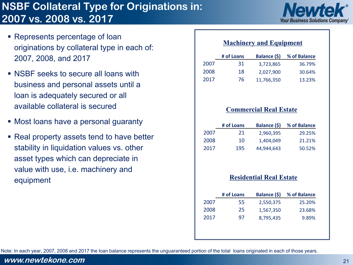# **NSBF Collateral Type for Originations in: 2007 vs. 2008 vs. 2017**



- Represents percentage of loan originations by collateral type in each of: 2007, 2008, and 2017
- **NSBF** seeks to secure all loans with business and personal assets until a loan is adequately secured or all available collateral is secured
- Most loans have a personal guaranty
- Real property assets tend to have better stability in liquidation values vs. other asset types which can depreciate in value with use, i.e. machinery and equipment

#### **Machinery and Equipment**

|      | # of Loans | Balance (\$) | % of Balance |
|------|------------|--------------|--------------|
| 2007 | 31         | 3,723,865    | 36.79%       |
| 2008 | 18         | 2.027.900    | 30.64%       |
| 2017 | 76         | 11,766,350   | 13.23%       |

#### **Commercial Real Estate**

|      | # of Loans | <b>Balance (\$)</b> | % of Balance |
|------|------------|---------------------|--------------|
| 2007 | 21         | 2.960.395           | 29.25%       |
| 2008 | 10         | 1.404.049           | 21.21%       |
| 2017 | 195        | 44.944.643          | 50.52%       |

#### **Residential Real Estate**

|      | # of Loans | <b>Balance (\$)</b> | % of Balance |
|------|------------|---------------------|--------------|
| 2007 | 55         | 2,550,375           | 25.20%       |
| 2008 | 25         | 1,567,350           | 23.68%       |
| 2017 | 97         | 8,795,435           | 9.89%        |
|      |            |                     |              |
|      |            |                     |              |

Note: In each year, 2007, 2008 and 2017 the loan balance represents the unguaranteed portion of the total loans originated in each of those years.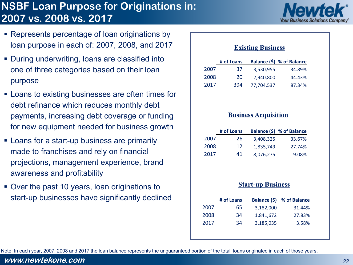# **NSBF Loan Purpose for Originations in: 2007 vs. 2008 vs. 2017**



- **Represents percentage of loan originations by** loan purpose in each of: 2007, 2008, and 2017
- **During underwriting, loans are classified into** one of three categories based on their loan purpose
- **EXECT:** Loans to existing businesses are often times for debt refinance which reduces monthly debt payments, increasing debt coverage or funding for new equipment needed for business growth
- **EXEC** Loans for a start-up business are primarily made to franchises and rely on financial projections, management experience, brand awareness and profitability
- Over the past 10 years, loan originations to start-up businesses have significantly declined

#### **Existing Business**

|      | # of Loans |            | Balance (\$) % of Balance |
|------|------------|------------|---------------------------|
| 2007 | 37         | 3.530.955  | 34.89%                    |
| 2008 | 20         | 2.940.800  | 44.43%                    |
| 2017 | 394        | 77.704.537 | 87.34%                    |

#### **Business Acquisition**

|      | # of Loans |           | Balance (\$) % of Balance |
|------|------------|-----------|---------------------------|
| 2007 | 26         | 3.408.325 | 33.67%                    |
| 2008 | 12         | 1.835.749 | 27.74%                    |
| 2017 | 41         | 8,076,275 | 9.08%                     |

#### **Start-up Business**

| # of Loans | Balance (\$) | % of Balance |
|------------|--------------|--------------|
| 65         | 3,182,000    | 31.44%       |
| 34         | 1,841,672    | 27.83%       |
| 34         | 3,185,035    | 3.58%        |
|            |              |              |
|            |              |              |

Note: In each year, 2007, 2008 and 2017 the loan balance represents the unguaranteed portion of the total loans originated in each of those years.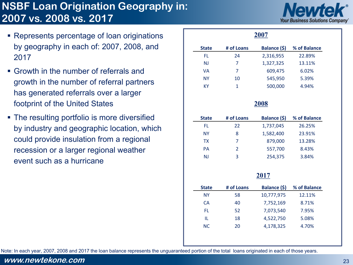### **NSBF Loan Origination Geography in: 2007 vs. 2008 vs. 2017**



- Represents percentage of loan originations by geography in each of: 2007, 2008, and 2017
- Growth in the number of referrals and growth in the number of referral partners has generated referrals over a larger footprint of the United States
- The resulting portfolio is more diversified by industry and geographic location, which could provide insulation from a regional recession or a larger regional weather event such as a hurricane

|              |                | 2007         |              |
|--------------|----------------|--------------|--------------|
| <b>State</b> | # of Loans     | Balance (\$) | % of Balance |
| FL.          | 24             | 2,316,955    | 22.89%       |
| <b>NJ</b>    | $\overline{7}$ | 1,327,325    | 13.11%       |
| <b>VA</b>    | $\overline{7}$ | 609,475      | 6.02%        |
| <b>NY</b>    | 10             | 545,950      | 5.39%        |
| <b>KY</b>    | $\mathbf{1}$   | 500,000      | 4.94%        |
|              |                | <b>2008</b>  |              |
| <b>State</b> | # of Loans     | Balance (\$) | % of Balance |
| FL.          | 22             | 1,737,045    | 26.25%       |
| <b>NY</b>    | 8              | 1,582,400    | 23.91%       |
| <b>TX</b>    | $\overline{7}$ | 879,000      | 13.28%       |
| <b>PA</b>    | $\overline{2}$ | 557,700      | 8.43%        |
| <b>NJ</b>    | 3              | 254,375      | 3.84%        |
|              |                | 2017         |              |
| <b>State</b> | # of Loans     | Balance (\$) | % of Balance |
| <b>NY</b>    | 58             | 10,777,975   | 12.11%       |
| <b>CA</b>    | 40             | 7,752,169    | 8.71%        |
| FL.          | 52             | 7,073,540    | 7.95%        |
| IL.          | 18             | 4,522,750    | 5.08%        |
|              |                |              |              |

Note: In each year, 2007, 2008 and 2017 the loan balance represents the unguaranteed portion of the total loans originated in each of those years.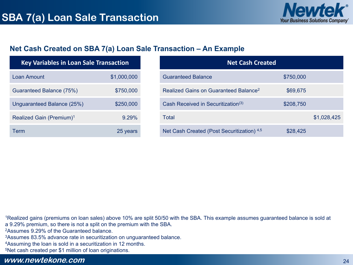

#### **Net Cash Created on SBA 7(a) Loan Sale Transaction – An Example**

| <b>Key Variables in Loan Sale Transaction</b> |             |  |
|-----------------------------------------------|-------------|--|
| Loan Amount                                   | \$1,000,000 |  |
| Guaranteed Balance (75%)                      | \$750,000   |  |
| Unguaranteed Balance (25%)                    | \$250,000   |  |
| Realized Gain (Premium) <sup>1</sup>          | 9.29%       |  |
| Term                                          | 25 years    |  |

| <b>Net Cash Created</b>                           |           |             |
|---------------------------------------------------|-----------|-------------|
| <b>Guaranteed Balance</b>                         | \$750,000 |             |
| Realized Gains on Guaranteed Balance <sup>2</sup> | \$69,675  |             |
| Cash Received in Securitization <sup>(3)</sup>    | \$208,750 |             |
| Total                                             |           | \$1,028,425 |
| Net Cash Created (Post Securitization) 4,5        | \$28,425  |             |

<sup>1</sup>Realized gains (premiums on loan sales) above 10% are split 50/50 with the SBA. This example assumes guaranteed balance is sold at a 9.29% premium, so there is not a split on the premium with the SBA.

2Assumes 9.29% of the Guaranteed balance.

3Assumes 83.5% advance rate in securitization on unguaranteed balance.

4Assuming the loan is sold in a securitization in 12 months.

5Net cash created per \$1 million of loan originations.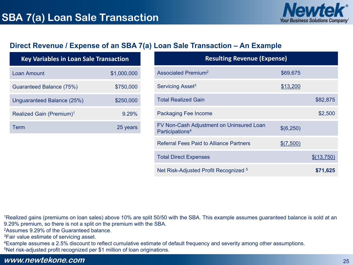

#### **Direct Revenue / Expense of an SBA 7(a) Loan Sale Transaction – An Example**

| <b>Key Variables in Loan Sale Transaction</b> |             |  |
|-----------------------------------------------|-------------|--|
| Loan Amount                                   | \$1,000,000 |  |
| Guaranteed Balance (75%)                      | \$750,000   |  |
| Unguaranteed Balance (25%)                    | \$250,000   |  |
| Realized Gain (Premium) <sup>1</sup>          | 9.29%       |  |
| Term                                          | 25 years    |  |

| <b>Resulting Revenue (Expense)</b>                                      |           |            |  |  |
|-------------------------------------------------------------------------|-----------|------------|--|--|
| Associated Premium <sup>2</sup>                                         | \$69,675  |            |  |  |
| Servicing Asset <sup>3</sup>                                            | \$13,200  |            |  |  |
| <b>Total Realized Gain</b>                                              |           | \$82,875   |  |  |
| Packaging Fee Income                                                    |           | \$2,500    |  |  |
| FV Non-Cash Adjustment on Uninsured Loan<br>Participations <sup>4</sup> | \$(6,250) |            |  |  |
| <b>Referral Fees Paid to Alliance Partners</b>                          | \$(7,500) |            |  |  |
| <b>Total Direct Expenses</b>                                            |           | \$(13,750) |  |  |
| Net Risk-Adjusted Profit Recognized <sup>5</sup>                        |           | \$71,625   |  |  |

<sup>1</sup>Realized gains (premiums on loan sales) above 10% are split 50/50 with the SBA. This example assumes guaranteed balance is sold at an 9.29% premium, so there is not a split on the premium with the SBA.

2Assumes 9.29% of the Guaranteed balance.

3Fair value estimate of servicing asset.

4Example assumes a 2.5% discount to reflect cumulative estimate of default frequency and severity among other assumptions.

5Net risk-adjusted profit recognized per \$1 million of loan originations.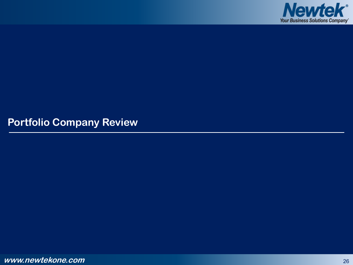

**Portfolio Company Review**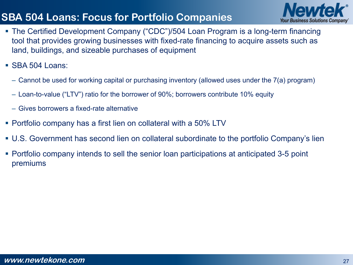# **SBA 504 Loans: Focus for Portfolio Companies**



- The Certified Development Company ("CDC")/504 Loan Program is a long-term financing tool that provides growing businesses with fixed-rate financing to acquire assets such as land, buildings, and sizeable purchases of equipment
- SBA 504 Loans:
	- Cannot be used for working capital or purchasing inventory (allowed uses under the 7(a) program)
	- Loan-to-value ("LTV") ratio for the borrower of 90%; borrowers contribute 10% equity
	- Gives borrowers a fixed-rate alternative
- Portfolio company has a first lien on collateral with a 50% LTV
- U.S. Government has second lien on collateral subordinate to the portfolio Company's lien
- Portfolio company intends to sell the senior loan participations at anticipated 3-5 point premiums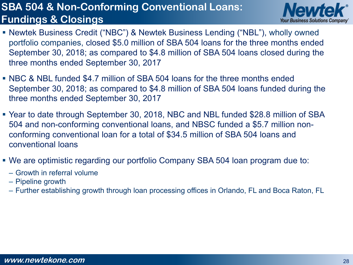### **SBA 504 & Non-Conforming Conventional Loans: Fundings & Closings**



- Newtek Business Credit ("NBC") & Newtek Business Lending ("NBL"), wholly owned portfolio companies, closed \$5.0 million of SBA 504 loans for the three months ended September 30, 2018; as compared to \$4.8 million of SBA 504 loans closed during the three months ended September 30, 2017
- NBC & NBL funded \$4.7 million of SBA 504 loans for the three months ended September 30, 2018; as compared to \$4.8 million of SBA 504 loans funded during the three months ended September 30, 2017
- Year to date through September 30, 2018, NBC and NBL funded \$28.8 million of SBA 504 and non-conforming conventional loans, and NBSC funded a \$5.7 million nonconforming conventional loan for a total of \$34.5 million of SBA 504 loans and conventional loans
- We are optimistic regarding our portfolio Company SBA 504 loan program due to:
	- Growth in referral volume
	- Pipeline growth
	- Further establishing growth through loan processing offices in Orlando, FL and Boca Raton, FL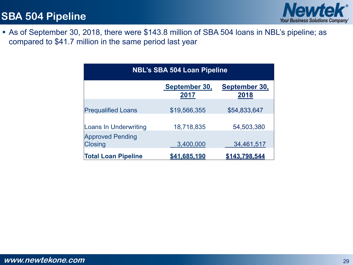

 As of September 30, 2018, there were \$143.8 million of SBA 504 loans in NBL's pipeline; as compared to \$41.7 million in the same period last year

| <b>NBL's SBA 504 Loan Pipeline</b>        |                       |                       |  |
|-------------------------------------------|-----------------------|-----------------------|--|
|                                           | September 30,<br>2017 | September 30,<br>2018 |  |
| <b>Prequalified Loans</b>                 | \$19,566,355          | \$54,833,647          |  |
| <b>Loans In Underwriting</b>              | 18,718,835            | 54,503,380            |  |
| <b>Approved Pending</b><br><b>Closing</b> | 3,400,000             | 34,461,517            |  |
| <b>Total Loan Pipeline</b>                | <u>\$41,685,190</u>   | \$143,798,544         |  |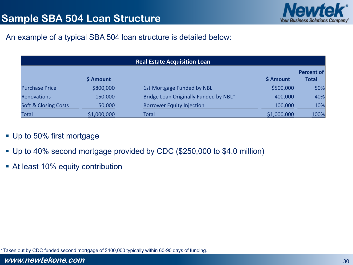

#### An example of a typical SBA 504 loan structure is detailed below:

| <b>Real Estate Acquisition Loan</b> |             |                                       |             |              |
|-------------------------------------|-------------|---------------------------------------|-------------|--------------|
|                                     |             |                                       |             | Percent of   |
|                                     | \$ Amount   |                                       | \$ Amount   | <b>Total</b> |
| <b>Purchase Price</b>               | \$800,000   | 1st Mortgage Funded by NBL            | \$500,000   | 50%          |
| <b>Renovations</b>                  | 150,000     | Bridge Loan Originally Funded by NBL* | 400,000     | 40%          |
| <b>Soft &amp; Closing Costs</b>     | 50,000      | <b>Borrower Equity Injection</b>      | 100,000     | 10%          |
| <b>Total</b>                        | \$1,000,000 | <b>Total</b>                          | \$1,000,000 | 100%         |

#### **Up to 50% first mortgage**

- Up to 40% second mortgage provided by CDC (\$250,000 to \$4.0 million)
- At least 10% equity contribution

\*Taken out by CDC funded second mortgage of \$400,000 typically within 60-90 days of funding.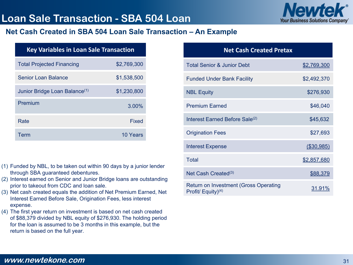### **Loan Sale Transaction - SBA 504 Loan**



#### **Net Cash Created in SBA 504 Loan Sale Transaction – An Example**

| <b>Key Variables in Loan Sale Transaction</b> |             |  |  |
|-----------------------------------------------|-------------|--|--|
| <b>Total Projected Financing</b>              | \$2,769,300 |  |  |
| Senior Loan Balance                           | \$1,538,500 |  |  |
| Junior Bridge Loan Balance <sup>(1)</sup>     | \$1,230,800 |  |  |
| Premium                                       | 3.00%       |  |  |
| Rate                                          | Fixed       |  |  |
| Term                                          | 10 Years    |  |  |

- (1) Funded by NBL, to be taken out within 90 days by a junior lender through SBA guaranteed debentures.
- (2) Interest earned on Senior and Junior Bridge loans are outstanding prior to takeout from CDC and loan sale.
- (3) Net cash created equals the addition of Net Premium Earned, Net Interest Earned Before Sale, Origination Fees, less interest expense.
- (4) The first year return on investment is based on net cash created of \$88,379 divided by NBL equity of \$276,930. The holding period for the loan is assumed to be 3 months in this example, but the return is based on the full year.

| <b>Net Cash Created Pretax</b>                                 |               |
|----------------------------------------------------------------|---------------|
| <b>Total Senior &amp; Junior Debt</b>                          | \$2,769,300   |
| <b>Funded Under Bank Facility</b>                              | \$2,492,370   |
| <b>NBL Equity</b>                                              | \$276,930     |
| <b>Premium Earned</b>                                          | \$46,040      |
| Interest Earned Before Sale <sup>(2)</sup>                     | \$45,632      |
| <b>Origination Fees</b>                                        | \$27,693      |
| <b>Interest Expense</b>                                        | (\$30,985)    |
| Total                                                          | \$2,857,680   |
| Net Cash Created $(3)$                                         | \$88,379      |
| Return on Investment (Gross Operating<br>Profit/ Equity) $(4)$ | <u>31.91%</u> |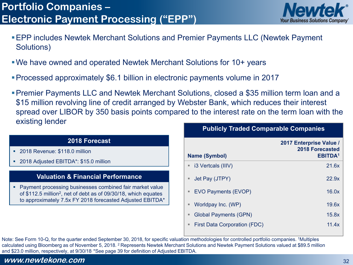

- EPP includes Newtek Merchant Solutions and Premier Payments LLC (Newtek Payment Solutions)
- We have owned and operated Newtek Merchant Solutions for 10+ years
- Processed approximately \$6.1 billion in electronic payments volume in 2017
- **Publicly Traded Comparable Companies** Premier Payments LLC and Newtek Merchant Solutions, closed a \$35 million term loan and a \$15 million revolving line of credit arranged by Webster Bank, which reduces their interest spread over LIBOR by 350 basis points compared to the interest rate on the term loan with the existing lender

#### **2018 Forecast**

- **2018 Revenue: \$118.0 million**
- 2018 Adjusted EBITDA\*: \$15.0 million

#### **Valuation & Financial Performance**

 Payment processing businesses combined fair market value of \$112.5 million2, net of debt as of 09/30/18, which equates to approximately 7.5x FY 2018 forecasted Adjusted EBITDA\*

|    | <b>Name (Symbol)</b>                | 2017 Enterprise Value /<br><b>2018 Forecasted</b><br><b>EBITDA1</b> |          |
|----|-------------------------------------|---------------------------------------------------------------------|----------|
|    | ■ i3 Vertcals (IIIV)                | 21.6x                                                               |          |
|    | Uet Pay (JTPY)                      | 22.9x                                                               |          |
| ш  | EVO Payments (EVOP)                 | 16.0x                                                               |          |
| Ξ  | Worldpay Inc. (WP)                  | 19.6x                                                               |          |
| ш  | <b>Global Payments (GPN)</b>        | 15.8x                                                               |          |
| ш. | <b>First Data Corporation (FDC)</b> |                                                                     | 11.4 $x$ |
|    |                                     |                                                                     |          |

Note: See Form 10-Q, for the quarter ended September 30, 2018, for specific valuation methodologies for controlled portfolio companies. 1Multiples calculated using Bloomberg as of November 5, 2018. 2 Represents Newtek Merchant Solutions and Newtek Payment Solutions valued at \$89.5 million and \$23.0 million, respectively, at 9/30/18. \*See page 39 for definition of Adjusted EBITDA.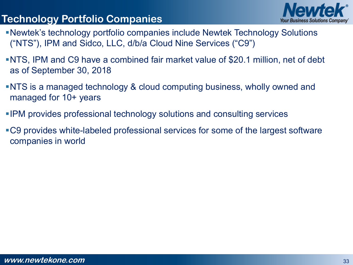# **Technology Portfolio Companies**



- Newtek's technology portfolio companies include Newtek Technology Solutions ("NTS"), IPM and Sidco, LLC, d/b/a Cloud Nine Services ("C9")
- NTS, IPM and C9 have a combined fair market value of \$20.1 million, net of debt as of September 30, 2018
- NTS is a managed technology & cloud computing business, wholly owned and managed for 10+ years
- IPM provides professional technology solutions and consulting services
- C9 provides white-labeled professional services for some of the largest software companies in world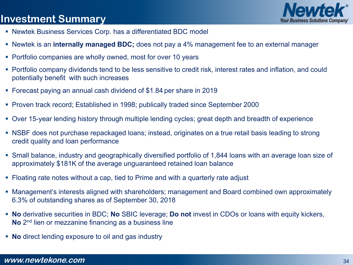### **Investment Summary**



- Newtek Business Services Corp. has a differentiated BDC model
- Newtek is an **internally managed BDC;** does not pay a 4% management fee to an external manager
- **Portfolio companies are wholly owned, most for over 10 years**
- Portfolio company dividends tend to be less sensitive to credit risk, interest rates and inflation, and could potentially benefit with such increases
- Forecast paying an annual cash dividend of \$1.84 per share in 2019
- Proven track record; Established in 1998; publically traded since September 2000
- Over 15-year lending history through multiple lending cycles; great depth and breadth of experience
- NSBF does not purchase repackaged loans; instead, originates on a true retail basis leading to strong credit quality and loan performance
- Small balance, industry and geographically diversified portfolio of 1,844 loans with an average loan size of approximately \$181K of the average unguaranteed retained loan balance
- Floating rate notes without a cap, tied to Prime and with a quarterly rate adjust
- Management's interests aligned with shareholders; management and Board combined own approximately 6.3% of outstanding shares as of September 30, 2018
- **No** derivative securities in BDC; **No** SBIC leverage; **Do not** invest in CDOs or loans with equity kickers, **No** 2nd lien or mezzanine financing as a business line
- **No** direct lending exposure to oil and gas industry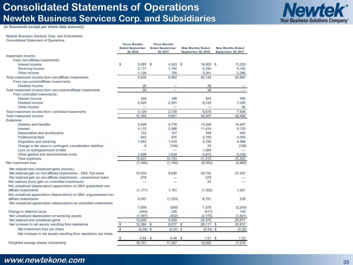#### **Consolidated Statements of Operations Newtek Business Services Corp. and Subsidiaries**



*(in thousands except per share data amounts)*

#### Newtek Business Services Corp. and Subsidiaries Consolidated Statement of Operations

|                                                                      |               | <b>Three Months</b><br><b>Ended September</b><br>30, 2018 |               | <b>Three Months</b><br><b>Ended September</b><br>30, 2017 | <b>Nine Months Ended</b><br>September 30, 2018 | <b>Nine Months Ended</b><br>September 30, 2017 |
|----------------------------------------------------------------------|---------------|-----------------------------------------------------------|---------------|-----------------------------------------------------------|------------------------------------------------|------------------------------------------------|
| Investment income:                                                   |               |                                                           |               |                                                           |                                                |                                                |
| From non-affiliate investments:                                      |               |                                                           |               |                                                           |                                                |                                                |
| Interest income                                                      | \$            | $5.925$ \$                                                |               | $4.363$ \$                                                | 16.602 \$                                      | 13.233                                         |
| Servicing income                                                     |               | 2.177                                                     |               | 1.794                                                     | 6.250                                          | 5,163                                          |
| Other income                                                         |               | 1,128                                                     |               | 705                                                       | 3,291                                          | 2,266                                          |
| Total investment income from non-affiliate investments               |               | 9.230                                                     |               | 6.862                                                     | 26,143                                         | 20.662                                         |
| From non-control/affiliate investments:                              |               |                                                           |               |                                                           |                                                |                                                |
| Dividend income                                                      |               | 26                                                        |               |                                                           | 36                                             |                                                |
| Total investment income from non-control/affiliate investments       |               | 26                                                        |               |                                                           | 36                                             |                                                |
| From controlled investments:                                         |               |                                                           |               |                                                           |                                                |                                                |
| Interest income                                                      |               | 204                                                       |               | 188                                                       | 553                                            | 456                                            |
| Dividend income                                                      |               | 2,925                                                     |               | 2,551                                                     | 8,125                                          | 7,326                                          |
| Other income                                                         |               |                                                           |               |                                                           |                                                | 54                                             |
| Total investment income from controlled investments                  |               | 3,129                                                     |               | 2,739                                                     | 8.678                                          | 7,836                                          |
| Total investment income                                              |               | 12,385                                                    |               | 9,601                                                     | 34,857                                         | 28,498                                         |
| Expenses:                                                            |               |                                                           |               |                                                           |                                                |                                                |
| Salaries and benefits                                                |               | 5,469                                                     |               | 4.776                                                     | 15,559                                         | 14,407                                         |
| <b>Interest</b>                                                      |               | 4,110                                                     |               | 2,986                                                     | 11,414                                         | 8,133                                          |
| Depreciation and amortization                                        |               | 122                                                       |               | 107                                                       | 358                                            | 292                                            |
| <b>Professional fees</b>                                             |               | 642                                                       |               | 605                                                       | 2,169                                          | 2,054                                          |
| Origination and servicing                                            |               | 1,983                                                     |               | 1,433                                                     | 5,756                                          | 4,086                                          |
| Change in fair value in contingent consideration liabilites          |               | 6                                                         |               | (748)                                                     | 23                                             | (748)                                          |
| Loss on extinguishment of debt                                       |               |                                                           |               |                                                           | 1,059                                          |                                                |
| Other general and administrative costs                               |               | 1,499                                                     |               | 1,634                                                     | 4,872                                          | 5,239                                          |
| <b>Total expenses</b>                                                |               | 13.831                                                    |               | 10.793                                                    | 41,210                                         | 33.463                                         |
| Net investment loss                                                  |               | (1,446)                                                   |               | (1, 192)                                                  | (6, 353)                                       | (4,965)                                        |
| Net realized and unrealized gains (losses):                          |               |                                                           |               |                                                           |                                                |                                                |
| Net realized gain on non-affiliate investments - SBA 7(a) loans      |               | 10,554                                                    |               | 9.938                                                     | 30.754                                         | 27.537                                         |
| Net realized gain on non-affiliate investments - conventional loans  |               | 278                                                       |               |                                                           | 278                                            |                                                |
| Net realized (loss) gain on controlled investments                   |               |                                                           |               |                                                           | 52                                             |                                                |
| Net unrealized (depreciation) appreciation on SBA guaranteed non-    |               |                                                           |               |                                                           |                                                |                                                |
| affiliate investments                                                |               | (1, 177)                                                  |               | 1,151                                                     | (1, 352)                                       | 1.201                                          |
| Net unrealized appreciation (depreciation) on SBA unguaranteed non-  |               |                                                           |               |                                                           |                                                |                                                |
| affiliate investments                                                |               | 4.057                                                     |               | (1,023)                                                   | 6.751                                          | 238                                            |
| Net unrealized appreciation (depreciation) on controlled investments |               |                                                           |               |                                                           |                                                |                                                |
|                                                                      |               | 1,659                                                     |               | (500)                                                     | 1,579                                          | (2, 243)                                       |
| Change in deferred taxes                                             |               | (444)                                                     |               | 335                                                       | (417)                                          | 745                                            |
| Net unrealized depreciation on servicing assets                      |               | (1,097)                                                   |               | (632)                                                     | (3, 175)                                       | (1,601)                                        |
| Net realized and unrealized gains                                    |               | 13,830                                                    |               | 9,269                                                     | 34,470                                         | 25,877                                         |
| Net increase in net assets resulting from operations                 |               | 12,384                                                    | $\mathbb{S}$  | 8,077                                                     | 28,117<br>$\mathfrak{S}$                       | \$<br>20,912                                   |
| Net investment loss per share                                        | $\frac{1}{2}$ | (0.08)                                                    | $\mathsf{\$}$ | $(0.07)$ \$                                               | $(0.34)$ \$                                    | (0.29)                                         |
| Net increase in net assets resulting from operations per share       |               |                                                           |               |                                                           |                                                |                                                |
|                                                                      | \$            | 0.66                                                      | $\mathbb{S}$  | 0.46                                                      | -\$<br>1.51                                    | \$<br>1.22                                     |
| Weighted average shares outstanding                                  |               | 18,791                                                    |               | 17,487                                                    | 18,656                                         | 17,076                                         |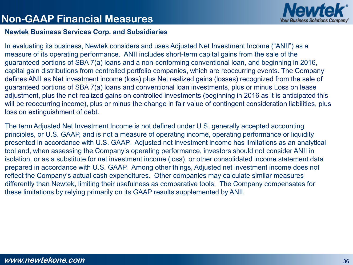

#### **Non-GAAP Financial Measures**

#### **Newtek Business Services Corp. and Subsidiaries**

In evaluating its business, Newtek considers and uses Adjusted Net Investment Income ("ANII") as a measure of its operating performance. ANII includes short-term capital gains from the sale of the guaranteed portions of SBA 7(a) loans and a non-conforming conventional loan, and beginning in 2016, capital gain distributions from controlled portfolio companies, which are reoccurring events. The Company defines ANII as Net investment income (loss) plus Net realized gains (losses) recognized from the sale of guaranteed portions of SBA 7(a) loans and conventional loan investments, plus or minus Loss on lease adjustment, plus the net realized gains on controlled investments (beginning in 2016 as it is anticipated this will be reoccurring income), plus or minus the change in fair value of contingent consideration liabilities, plus loss on extinguishment of debt.

The term Adjusted Net Investment Income is not defined under U.S. generally accepted accounting principles, or U.S. GAAP, and is not a measure of operating income, operating performance or liquidity presented in accordance with U.S. GAAP. Adjusted net investment income has limitations as an analytical tool and, when assessing the Company's operating performance, investors should not consider ANII in isolation, or as a substitute for net investment income (loss), or other consolidated income statement data prepared in accordance with U.S. GAAP. Among other things, Adjusted net investment income does not reflect the Company's actual cash expenditures. Other companies may calculate similar measures differently than Newtek, limiting their usefulness as comparative tools. The Company compensates for these limitations by relying primarily on its GAAP results supplemented by ANII.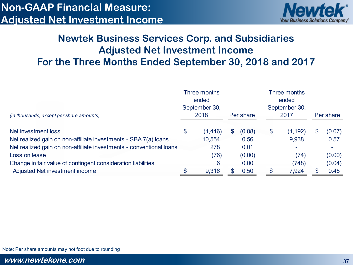

### **Newtek Business Services Corp. and Subsidiaries Adjusted Net Investment Income For the Three Months Ended September 30, 2018 and 2017**

| (in thousands, except per share amounts)                            |    | Three months<br>ended<br>September 30, |    |           | Three months<br>ended<br>September 30, |          |    |           |  |
|---------------------------------------------------------------------|----|----------------------------------------|----|-----------|----------------------------------------|----------|----|-----------|--|
|                                                                     |    | 2018                                   |    | Per share |                                        | 2017     |    | Per share |  |
| Net investment loss                                                 | \$ | (1,446)                                | \$ | (0.08)    | \$                                     | (1, 192) | \$ | (0.07)    |  |
| Net realized gain on non-affiliate investments - SBA 7(a) loans     |    | 10,554                                 |    | 0.56      |                                        | 9,938    |    | 0.57      |  |
| Net realized gain on non-affiliate investments - conventional loans |    | 278                                    |    | 0.01      |                                        |          |    |           |  |
| Loss on lease                                                       |    | (76)                                   |    | (0.00)    |                                        | (74)     |    | (0.00)    |  |
| Change in fair value of contingent consideration liabilities        |    | 6                                      |    | 0.00      |                                        | (748)    |    | (0.04)    |  |
| Adjusted Net investment income                                      |    | 9,316                                  |    | 0.50      |                                        | 7,924    |    | 0.45      |  |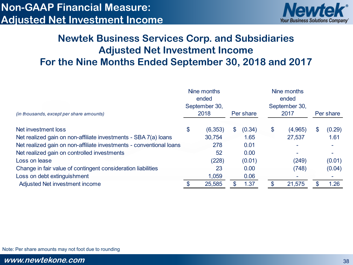### **Non-GAAP Financial Measure: Adjusted Net Investment Income**



#### **Newtek Business Services Corp. and Subsidiaries Adjusted Net Investment Income For the Nine Months Ended September 30, 2018 and 2017**

|                                                                     |    | Nine months<br>ended<br>September 30, |     |           | Nine months<br>ended<br>September 30, |         |    |           |  |
|---------------------------------------------------------------------|----|---------------------------------------|-----|-----------|---------------------------------------|---------|----|-----------|--|
| (in thousands, except per share amounts)                            |    | 2018                                  |     | Per share |                                       | 2017    |    | Per share |  |
| Net investment loss                                                 | \$ | (6, 353)                              | \$. | (0.34)    | \$                                    | (4,965) | \$ | (0.29)    |  |
| Net realized gain on non-affiliate investments - SBA 7(a) loans     |    | 30,754                                |     | 1.65      |                                       | 27,537  |    | 1.61      |  |
| Net realized gain on non-affiliate investments - conventional loans |    | 278                                   |     | 0.01      |                                       |         |    |           |  |
| Net realized gain on controlled investments                         |    | 52                                    |     | 0.00      |                                       |         |    |           |  |
| Loss on lease                                                       |    | (228)                                 |     | (0.01)    |                                       | (249)   |    | (0.01)    |  |
| Change in fair value of contingent consideration liabilities        |    | 23                                    |     | 0.00      |                                       | (748)   |    | (0.04)    |  |
| Loss on debt extinguishment                                         |    | 1,059                                 |     | 0.06      |                                       |         |    |           |  |
| Adjusted Net investment income                                      |    | 25,585                                |     | 1.37      |                                       | 21,575  |    | 1.26      |  |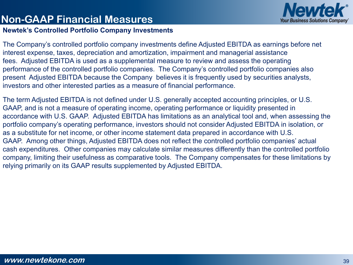

#### **Non-GAAP Financial Measures**

#### **Newtek's Controlled Portfolio Company Investments**

The Company's controlled portfolio company investments define Adjusted EBITDA as earnings before net interest expense, taxes, depreciation and amortization, impairment and managerial assistance fees. Adjusted EBITDA is used as a supplemental measure to review and assess the operating performance of the controlled portfolio companies. The Company's controlled portfolio companies also present Adjusted EBITDA because the Company believes it is frequently used by securities analysts, investors and other interested parties as a measure of financial performance.

The term Adjusted EBITDA is not defined under U.S. generally accepted accounting principles, or U.S. GAAP, and is not a measure of operating income, operating performance or liquidity presented in accordance with U.S. GAAP. Adjusted EBITDA has limitations as an analytical tool and, when assessing the portfolio company's operating performance, investors should not consider Adjusted EBITDA in isolation, or as a substitute for net income, or other income statement data prepared in accordance with U.S. GAAP. Among other things, Adjusted EBITDA does not reflect the controlled portfolio companies' actual cash expenditures. Other companies may calculate similar measures differently than the controlled portfolio company, limiting their usefulness as comparative tools. The Company compensates for these limitations by relying primarily on its GAAP results supplemented by Adjusted EBITDA.